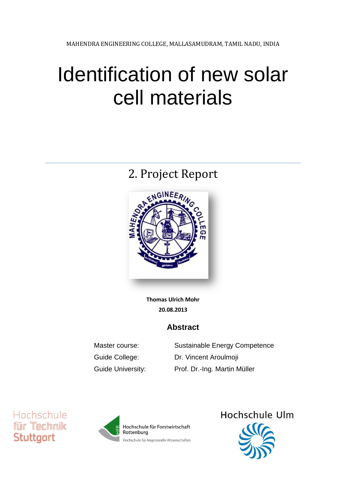## Identification of new solar cell materials

## 2. Project Report



**Thomas Ulrich Mohr 20.08.2013**

## **Abstract**

Master course: Sustainable Energy Competence Guide College: Dr. Vincent Aroulmoji Guide University: Prof. Dr.-Ing. Martin Müller

Hochschule für Technik Stuttgart



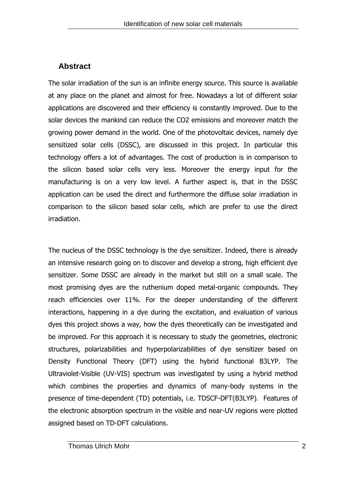## **Abstract**

The solar irradiation of the sun is an infinite energy source. This source is available at any place on the planet and almost for free. Nowadays a lot of different solar applications are discovered and their efficiency is constantly improved. Due to the solar devices the mankind can reduce the CO2 emissions and moreover match the growing power demand in the world. One of the photovoltaic devices, namely dye sensitized solar cells (DSSC), are discussed in this project. In particular this technology offers a lot of advantages. The cost of production is in comparison to the silicon based solar cells very less. Moreover the energy input for the manufacturing is on a very low level. A further aspect is, that in the DSSC application can be used the direct and furthermore the diffuse solar irradiation in comparison to the silicon based solar cells, which are prefer to use the direct irradiation.

The nucleus of the DSSC technology is the dye sensitizer. Indeed, there is already an intensive research going on to discover and develop a strong, high efficient dye sensitizer. Some DSSC are already in the market but still on a small scale. The most promising dyes are the ruthenium doped metal-organic compounds. They reach efficiencies over 11%. For the deeper understanding of the different interactions, happening in a dye during the excitation, and evaluation of various dyes this project shows a way, how the dyes theoretically can be investigated and be improved. For this approach it is necessary to study the geometries, electronic structures, polarizabilities and hyperpolarizabilities of dye sensitizer based on Density Functional Theory (DFT) using the hybrid functional B3LYP. The Ultraviolet-Visible (UV-VIS) spectrum was investigated by using a hybrid method which combines the properties and dynamics of many-body systems in the presence of time-dependent (TD) potentials, i.e. TDSCF-DFT(B3LYP). Features of the electronic absorption spectrum in the visible and near-UV regions were plotted assigned based on TD-DFT calculations.